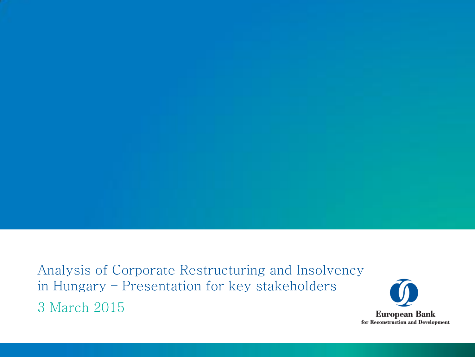Analysis of Corporate Restructuring and Insolvency in Hungary – Presentation for key stakeholders 3 March 2015

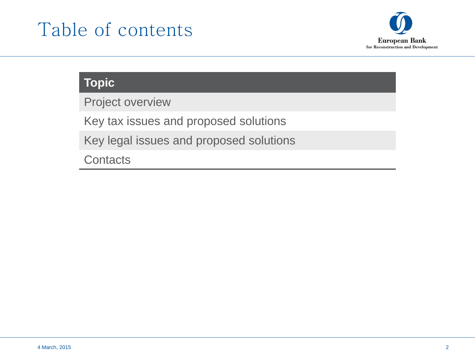# Table of contents



# **Topic**

Project overview

Key tax issues and proposed solutions

Key legal issues and proposed solutions

**Contacts**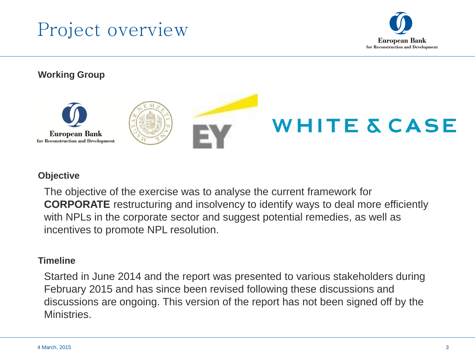



#### **Working Group**



#### **Objective**

The objective of the exercise was to analyse the current framework for **CORPORATE** restructuring and insolvency to identify ways to deal more efficiently with NPLs in the corporate sector and suggest potential remedies, as well as incentives to promote NPL resolution.

#### **Timeline**

Started in June 2014 and the report was presented to various stakeholders during February 2015 and has since been revised following these discussions and discussions are ongoing. This version of the report has not been signed off by the Ministries.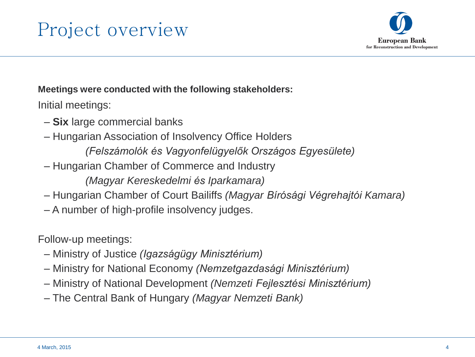



#### **Meetings were conducted with the following stakeholders:**

Initial meetings:

- **Six** large commercial banks
- Hungarian Association of Insolvency Office Holders
	- *(Felszámolók és Vagyonfelügyelők Országos Egyesülete)*
- Hungarian Chamber of Commerce and Industry

*(Magyar Kereskedelmi és Iparkamara)*

- Hungarian Chamber of Court Bailiffs *(Magyar Bírósági Végrehajtói Kamara)*
- A number of high-profile insolvency judges.

Follow-up meetings:

- Ministry of Justice *(Igazságügy Minisztérium)*
- Ministry for National Economy *(Nemzetgazdasági Minisztérium)*
- Ministry of National Development *(Nemzeti Fejlesztési Minisztérium)*
- The Central Bank of Hungary *(Magyar Nemzeti Bank)*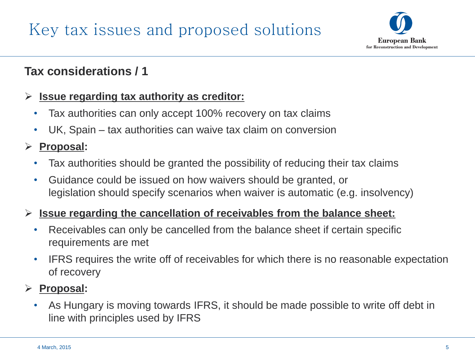

# **Tax considerations / 1**

#### **Issue regarding tax authority as creditor:**

- Tax authorities can only accept 100% recovery on tax claims
- UK, Spain tax authorities can waive tax claim on conversion

#### **Proposal:**

- Tax authorities should be granted the possibility of reducing their tax claims
- Guidance could be issued on how waivers should be granted, or legislation should specify scenarios when waiver is automatic (e.g. insolvency)

#### **Issue regarding the cancellation of receivables from the balance sheet:**

- Receivables can only be cancelled from the balance sheet if certain specific requirements are met
- IFRS requires the write off of receivables for which there is no reasonable expectation of recovery

# **Proposal:**

• As Hungary is moving towards IFRS, it should be made possible to write off debt in line with principles used by IFRS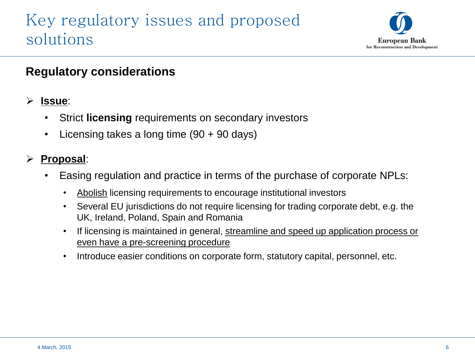

# **Regulatory considerations**

#### **Issue**:

- Strict **licensing** requirements on secondary investors
- Licensing takes a long time (90 + 90 days)

- Easing regulation and practice in terms of the purchase of corporate NPLs:
	- Abolish licensing requirements to encourage institutional investors
	- Several EU jurisdictions do not require licensing for trading corporate debt, e.g. the UK, Ireland, Poland, Spain and Romania
	- If licensing is maintained in general, streamline and speed up application process or even have a pre-screening procedure
	- Introduce easier conditions on corporate form, statutory capital, personnel, etc.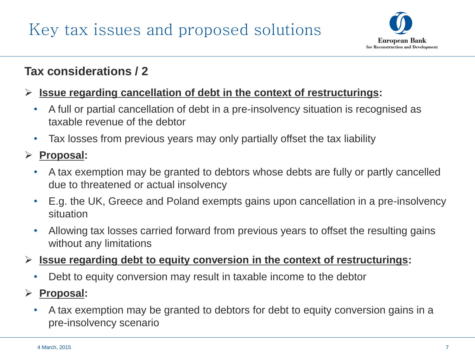

# **Tax considerations / 2**

#### **Issue regarding cancellation of debt in the context of restructurings:**

- A full or partial cancellation of debt in a pre-insolvency situation is recognised as taxable revenue of the debtor
- Tax losses from previous years may only partially offset the tax liability

- A tax exemption may be granted to debtors whose debts are fully or partly cancelled due to threatened or actual insolvency
- E.g. the UK, Greece and Poland exempts gains upon cancellation in a pre-insolvency situation
- Allowing tax losses carried forward from previous years to offset the resulting gains without any limitations
- **Issue regarding debt to equity conversion in the context of restructurings:**
	- Debt to equity conversion may result in taxable income to the debtor
- **Proposal:**
	- A tax exemption may be granted to debtors for debt to equity conversion gains in a pre-insolvency scenario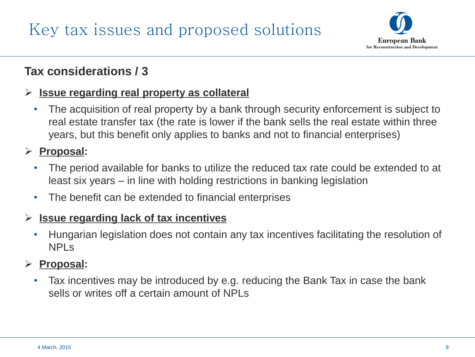

# **Tax considerations / 3**

#### **Issue regarding real property as collateral**

• The acquisition of real property by a bank through security enforcement is subject to real estate transfer tax (the rate is lower if the bank sells the real estate within three years, but this benefit only applies to banks and not to financial enterprises)

### **Proposal:**

- The period available for banks to utilize the reduced tax rate could be extended to at least six years – in line with holding restrictions in banking legislation
- The benefit can be extended to financial enterprises

#### **Issue regarding lack of tax incentives**

• Hungarian legislation does not contain any tax incentives facilitating the resolution of NPLs

#### **Proposal:**

• Tax incentives may be introduced by e.g. reducing the Bank Tax in case the bank sells or writes off a certain amount of NPLs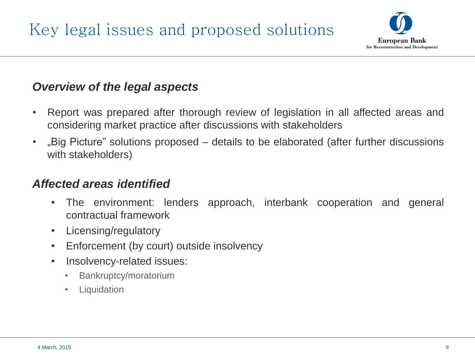

# *Overview of the legal aspects*

- Report was prepared after thorough review of legislation in all affected areas and considering market practice after discussions with stakeholders
- "Big Picture" solutions proposed details to be elaborated (after further discussions with stakeholders)

#### *Affected areas identified*

- The environment: lenders approach, interbank cooperation and general contractual framework
- Licensing/regulatory
- Enforcement (by court) outside insolvency
- Insolvency-related issues:
	- Bankruptcy/moratorium
	- Liquidation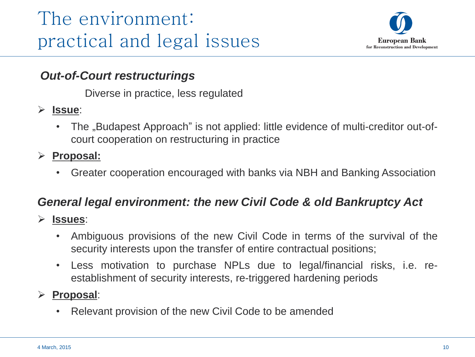

## *Out-of-Court restructurings*

Diverse in practice, less regulated

- **Issue**:
	- The "Budapest Approach" is not applied: little evidence of multi-creditor out-ofcourt cooperation on restructuring in practice
- **Proposal:**
	- Greater cooperation encouraged with banks via NBH and Banking Association

## *General legal environment: the new Civil Code & old Bankruptcy Act*

- **Issues**:
	- Ambiguous provisions of the new Civil Code in terms of the survival of the security interests upon the transfer of entire contractual positions;
	- Less motivation to purchase NPLs due to legal/financial risks, i.e. reestablishment of security interests, re-triggered hardening periods

#### **Proposal**:

Relevant provision of the new Civil Code to be amended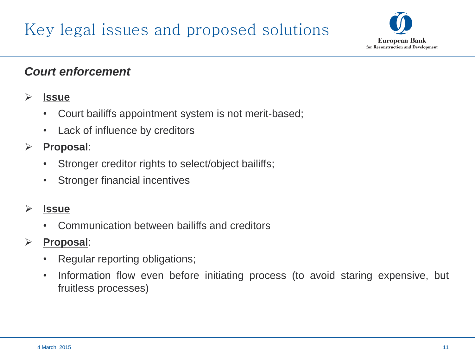

## *Court enforcement*

#### **Issue**

- Court bailiffs appointment system is not merit-based;
- Lack of influence by creditors

### **Proposal**:

- Stronger creditor rights to select/object bailiffs;
- Stronger financial incentives

#### **Issue**

• Communication between bailiffs and creditors

- Regular reporting obligations;
- Information flow even before initiating process (to avoid staring expensive, but fruitless processes)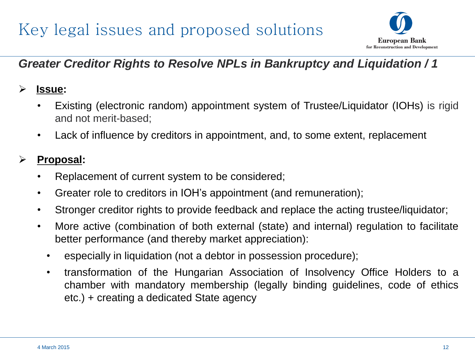# Key legal issues and proposed solutions



# *Greater Creditor Rights to Resolve NPLs in Bankruptcy and Liquidation / 1*

### **Issue:**

- Existing (electronic random) appointment system of Trustee/Liquidator (IOHs) is rigid and not merit-based;
- Lack of influence by creditors in appointment, and, to some extent, replacement

- Replacement of current system to be considered;
- Greater role to creditors in IOH's appointment (and remuneration);
- Stronger creditor rights to provide feedback and replace the acting trustee/liquidator;
- More active (combination of both external (state) and internal) regulation to facilitate better performance (and thereby market appreciation):
	- especially in liquidation (not a debtor in possession procedure);
	- transformation of the Hungarian Association of Insolvency Office Holders to a chamber with mandatory membership (legally binding guidelines, code of ethics etc.) + creating a dedicated State agency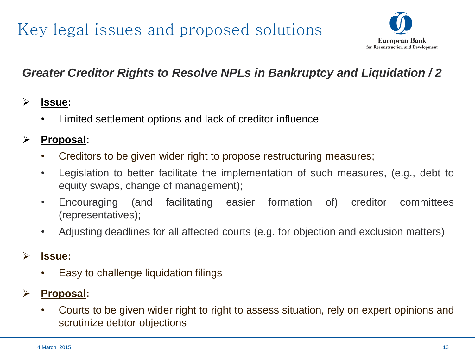

# *Greater Creditor Rights to Resolve NPLs in Bankruptcy and Liquidation / 2*

#### **Issue:**

• Limited settlement options and lack of creditor influence

#### **Proposal:**

- Creditors to be given wider right to propose restructuring measures;
- Legislation to better facilitate the implementation of such measures, (e.g., debt to equity swaps, change of management);
- Encouraging (and facilitating easier formation of) creditor committees (representatives);
- Adjusting deadlines for all affected courts (e.g. for objection and exclusion matters)

#### **Issue:**

• Easy to challenge liquidation filings

## **Proposal:**

• Courts to be given wider right to right to assess situation, rely on expert opinions and scrutinize debtor objections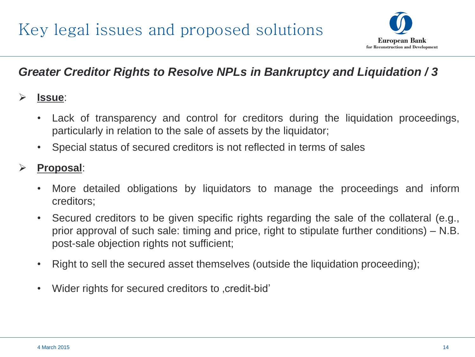

# *Greater Creditor Rights to Resolve NPLs in Bankruptcy and Liquidation / 3*

#### **Issue**:

- Lack of transparency and control for creditors during the liquidation proceedings, particularly in relation to the sale of assets by the liquidator;
- Special status of secured creditors is not reflected in terms of sales

- More detailed obligations by liquidators to manage the proceedings and inform creditors;
- Secured creditors to be given specific rights regarding the sale of the collateral (e.g., prior approval of such sale: timing and price, right to stipulate further conditions) – N.B. post-sale objection rights not sufficient;
- Right to sell the secured asset themselves (outside the liquidation proceeding);
- Wider rights for secured creditors to credit-bid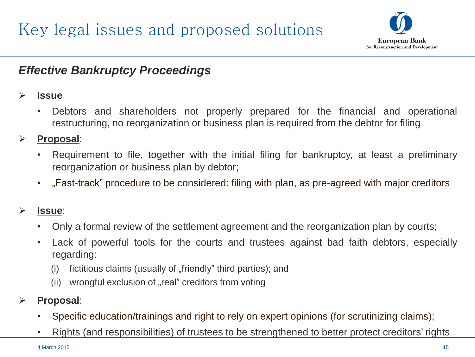

# *Effective Bankruptcy Proceedings*

#### **Issue**

• Debtors and shareholders not properly prepared for the financial and operational restructuring, no reorganization or business plan is required from the debtor for filing

#### **Proposal**:

- Requirement to file, together with the initial filing for bankruptcy, at least a preliminary reorganization or business plan by debtor;
- "Fast-track" procedure to be considered: filing with plan, as pre-agreed with major creditors

#### **Issue**:

- Only a formal review of the settlement agreement and the reorganization plan by courts;
- Lack of powerful tools for the courts and trustees against bad faith debtors, especially regarding:
	- (i) fictitious claims (usually of  $\pi$  friendly" third parties); and
	- (ii) wrongful exclusion of "real" creditors from voting
- **Proposal**:
	- Specific education/trainings and right to rely on expert opinions (for scrutinizing claims);
	- Rights (and responsibilities) of trustees to be strengthened to better protect creditors' rights